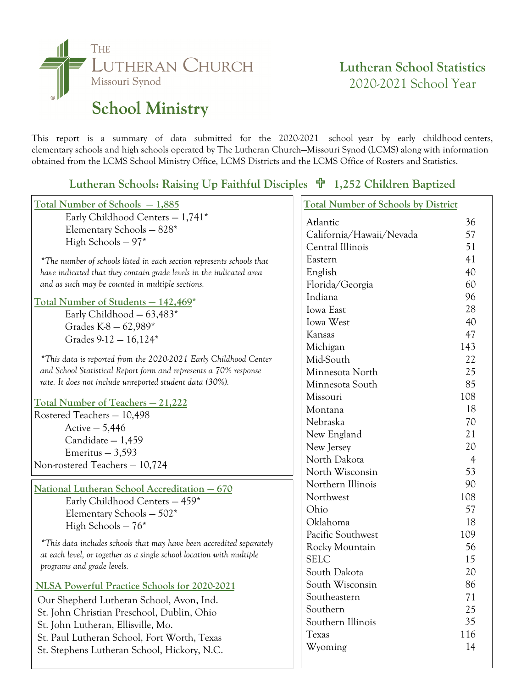

## **Lutheran School Statistics** 2020-2021 School Year

This report is a summary of data submitted for the 2020-2021 school year by early childhood centers, elementary schools and high schools operated by The Lutheran Church—Missouri Synod (LCMS) along with information obtained from the LCMS School Ministry Office, LCMS Districts and the LCMS Office of Rosters and Statistics.

**Lutheran Schools: Raising Up Faithful Disciples 1,252 Children Baptized**

| Total Number of Schools - 1,885                                                                    | <b>Total Number of Schools by District</b> |                |
|----------------------------------------------------------------------------------------------------|--------------------------------------------|----------------|
| Early Childhood Centers $-1,741*$                                                                  | Atlantic                                   | 36             |
| Elementary Schools - 828*                                                                          | California/Hawaii/Nevada                   | 57             |
| High Schools $-97*$                                                                                | Central Illinois                           | 51             |
| *The number of schools listed in each section represents schools that                              | Eastern                                    | 41             |
| have indicated that they contain grade levels in the indicated area                                | English                                    | 40             |
| and as such may be counted in multiple sections.                                                   | Florida/Georgia                            | 60             |
|                                                                                                    | Indiana                                    | 96             |
| <u>Total Number of Students - 142,469*</u>                                                         | <b>Iowa</b> East                           | 28             |
| Early Childhood $-63,483*$                                                                         | Iowa West                                  | 40             |
| Grades K-8 - 62,989*                                                                               | Kansas                                     | 47             |
| Grades $9-12 - 16,124*$                                                                            | Michigan                                   | 143            |
| *This data is reported from the 2020-2021 Early Childhood Center                                   | Mid-South                                  | 22             |
| and School Statistical Report form and represents a 70% response                                   | Minnesota North                            | 25             |
| rate. It does not include unreported student data (30%).                                           | Minnesota South                            | 85             |
|                                                                                                    | Missouri                                   | 108            |
| <u><b>Total Number of Teachers - 21,222</b></u>                                                    | Montana                                    | 18             |
| Rostered Teachers - 10,498                                                                         | Nebraska                                   | 70             |
| Active $-5,446$                                                                                    | New England                                | 21             |
| Candidate - 1,459<br>Emeritus $-3,593$                                                             | New Jersey                                 | 20             |
| Non-rostered Teachers - 10,724                                                                     | North Dakota                               | $\overline{4}$ |
|                                                                                                    | North Wisconsin                            | 53             |
| National Lutheran School Accreditation - 670                                                       | Northern Illinois                          | 90             |
| Early Childhood Centers - 459*                                                                     | Northwest                                  | 108            |
| Elementary Schools - 502*                                                                          | Ohio                                       | 57             |
| High Schools $-76*$                                                                                | Oklahoma                                   | 18             |
|                                                                                                    | Pacific Southwest                          | 109            |
| *This data includes schools that may have been accredited separately                               | Rocky Mountain                             | 56             |
| at each level, or together as a single school location with multiple<br>programs and grade levels. | <b>SELC</b>                                | 15             |
|                                                                                                    | South Dakota                               | 20             |
| NLSA Powerful Practice Schools for 2020-2021                                                       | South Wisconsin                            | 86             |
| Our Shepherd Lutheran School, Avon, Ind.                                                           | Southeastern                               | 71             |
| St. John Christian Preschool, Dublin, Ohio                                                         | Southern                                   | 25             |
| St. John Lutheran, Ellisville, Mo.                                                                 | Southern Illinois                          | 35             |
| St. Paul Lutheran School, Fort Worth, Texas                                                        | Texas                                      | 116            |
| St. Stephens Lutheran School, Hickory, N.C.                                                        | Wyoming                                    | 14             |
|                                                                                                    |                                            |                |